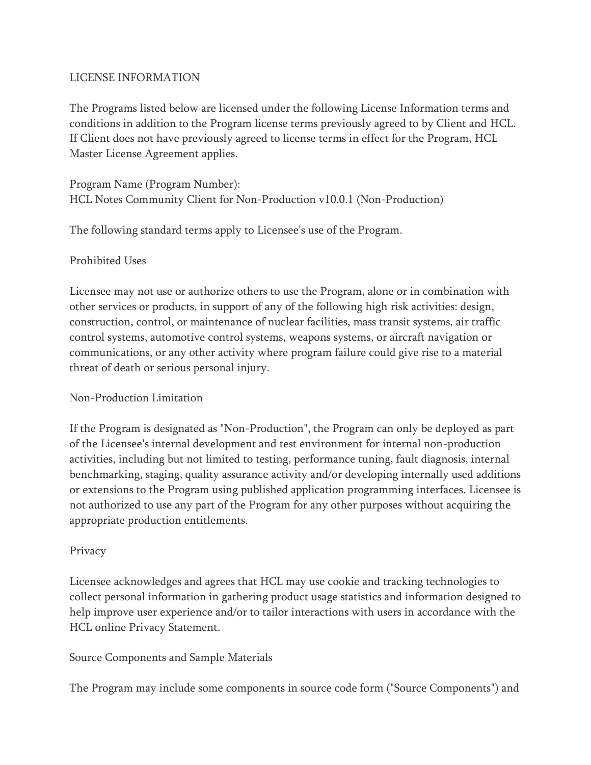# LICENSE INFORMATION

The Programs listed below are licensed under the following License Information terms and conditions in addition to the Program license terms previously agreed to by Client and HCL. If Client does not have previously agreed to license terms in effect for the Program, HCL Master License Agreement applies.

Program Name (Program Number): HCL Notes Community Client for Non-Production v10.0.1 (Non-Production)

The following standard terms apply to Licensee's use of the Program.

# Prohibited Uses

Licensee may not use or authorize others to use the Program, alone or in combination with other services or products, in support of any of the following high risk activities: design, construction, control, or maintenance of nuclear facilities, mass transit systems, air traffic control systems, automotive control systems, weapons systems, or aircraft navigation or communications, or any other activity where program failure could give rise to a material threat of death or serious personal injury.

### Non-Production Limitation

If the Program is designated as "Non-Production", the Program can only be deployed as part of the Licensee's internal development and test environment for internal non-production activities, including but not limited to testing, performance tuning, fault diagnosis, internal benchmarking, staging, quality assurance activity and/or developing internally used additions or extensions to the Program using published application programming interfaces. Licensee is not authorized to use any part of the Program for any other purposes without acquiring the appropriate production entitlements.

### Privacy

Licensee acknowledges and agrees that HCL may use cookie and tracking technologies to collect personal information in gathering product usage statistics and information designed to help improve user experience and/or to tailor interactions with users in accordance with the HCL online Privacy Statement.

# Source Components and Sample Materials

The Program may include some components in source code form ("Source Components") and